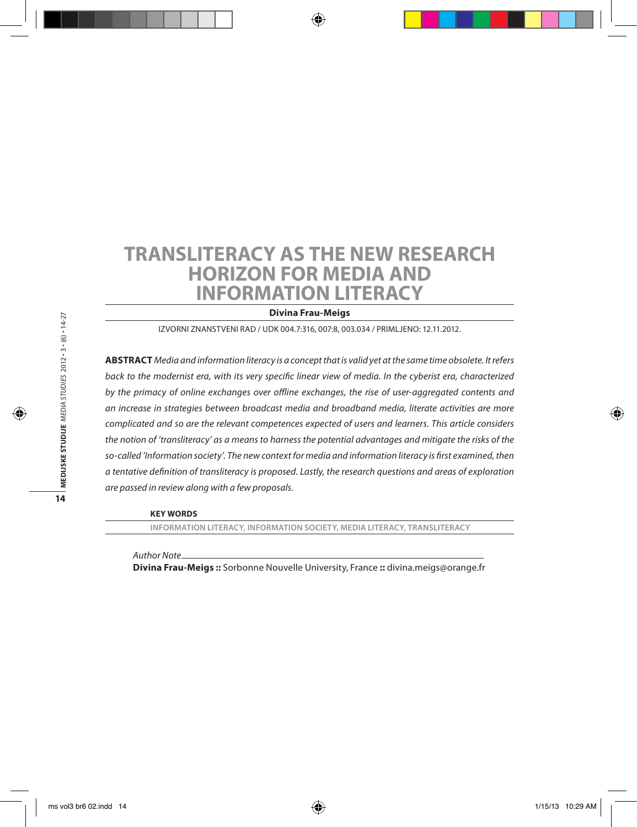# **Transliteracy as the New Research Horizon for Media and Information Literacy**

**Divina Frau-Meigs**

Izvorni znanstveni rad / UDK 004.7:316, 007:8, 003.034 / Primljeno: 12.11.2012.

**Abstract** *Media and information literacy is a concept that is valid yet at the same time obsolete. It refers back to the modernist era, with its very specific linear view of media. In the cyberist era, characterized by the primacy of online exchanges over offline exchanges, the rise of user-aggregated contents and an increase in strategies between broadcast media and broadband media, literate activities are more complicated and so are the relevant competences expected of users and learners. This article considers the notion of 'transliteracy' as a means to harness the potential advantages and mitigate the risks of the so-called 'Information society'. The new context for media and information literacy is first examined, then a tentative definition of transliteracy is proposed. Lastly, the research questions and areas of exploration are passed in review along with a few proposals.* 

**Key words**

**information literacy, information society, media literacy, transliteracy**

*Author Note*

**Divina Frau-Meigs ::** Sorbonne Nouvelle University, France **::** divina.meigs@orange.fr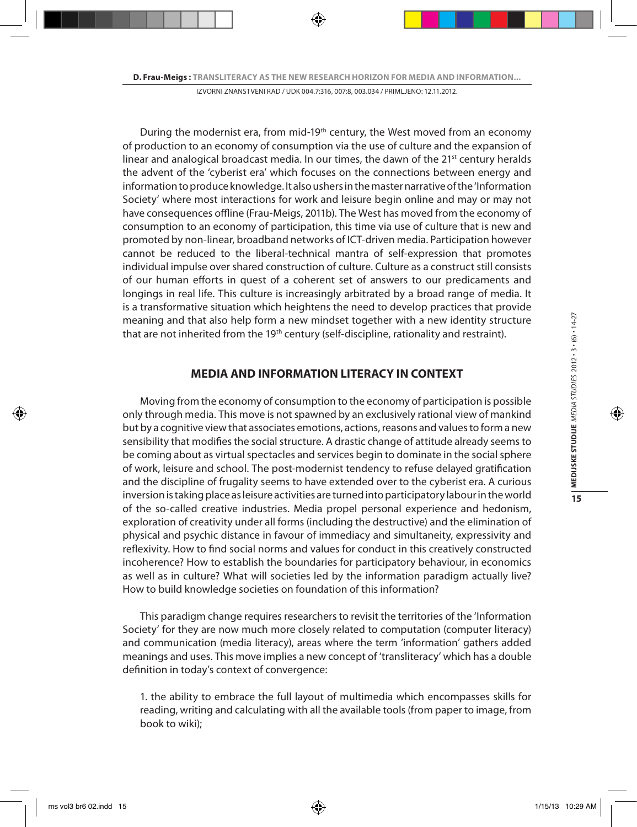During the modernist era, from mid-19th century, the West moved from an economy of production to an economy of consumption via the use of culture and the expansion of linear and analogical broadcast media. In our times, the dawn of the  $21^{st}$  century heralds the advent of the 'cyberist era' which focuses on the connections between energy and information to produce knowledge. It also ushers in the master narrative of the 'Information Society' where most interactions for work and leisure begin online and may or may not have consequences offline (Frau-Meigs, 2011b). The West has moved from the economy of consumption to an economy of participation, this time via use of culture that is new and promoted by non-linear, broadband networks of ICT-driven media. Participation however cannot be reduced to the liberal-technical mantra of self-expression that promotes individual impulse over shared construction of culture. Culture as a construct still consists of our human efforts in quest of a coherent set of answers to our predicaments and longings in real life. This culture is increasingly arbitrated by a broad range of media. It is a transformative situation which heightens the need to develop practices that provide meaning and that also help form a new mindset together with a new identity structure that are not inherited from the 19<sup>th</sup> century (self-discipline, rationality and restraint).

# **MEDIA AND INFORMATION LITERACY IN CONTEXT**

Moving from the economy of consumption to the economy of participation is possible only through media. This move is not spawned by an exclusively rational view of mankind but by a cognitive view that associates emotions, actions, reasons and values to form a new sensibility that modifies the social structure. A drastic change of attitude already seems to be coming about as virtual spectacles and services begin to dominate in the social sphere of work, leisure and school. The post-modernist tendency to refuse delayed gratification and the discipline of frugality seems to have extended over to the cyberist era. A curious inversion is taking place as leisure activities are turned into participatory labour in the world of the so-called creative industries. Media propel personal experience and hedonism, exploration of creativity under all forms (including the destructive) and the elimination of physical and psychic distance in favour of immediacy and simultaneity, expressivity and reflexivity. How to find social norms and values for conduct in this creatively constructed incoherence? How to establish the boundaries for participatory behaviour, in economics as well as in culture? What will societies led by the information paradigm actually live? How to build knowledge societies on foundation of this information?

This paradigm change requires researchers to revisit the territories of the 'Information Society' for they are now much more closely related to computation (computer literacy) and communication (media literacy), areas where the term 'information' gathers added meanings and uses. This move implies a new concept of 'transliteracy' which has a double definition in today's context of convergence:

1. the ability to embrace the full layout of multimedia which encompasses skills for reading, writing and calculating with all the available tools (from paper to image, from book to wiki);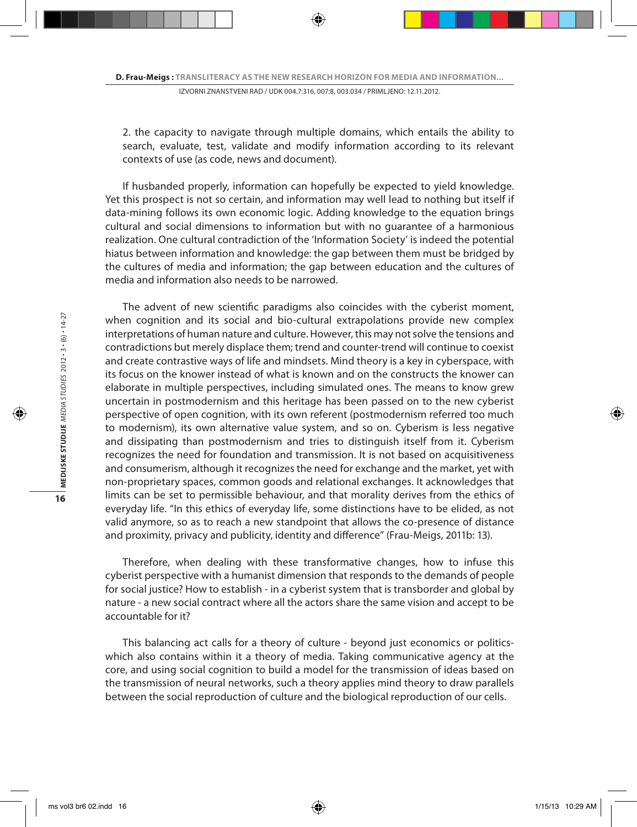2. the capacity to navigate through multiple domains, which entails the ability to search, evaluate, test, validate and modify information according to its relevant contexts of use (as code, news and document).

If husbanded properly, information can hopefully be expected to yield knowledge. Yet this prospect is not so certain, and information may well lead to nothing but itself if data-mining follows its own economic logic. Adding knowledge to the equation brings cultural and social dimensions to information but with no guarantee of a harmonious realization. One cultural contradiction of the 'Information Society' is indeed the potential hiatus between information and knowledge: the gap between them must be bridged by the cultures of media and information; the gap between education and the cultures of media and information also needs to be narrowed.

The advent of new scientific paradigms also coincides with the cyberist moment, when cognition and its social and bio-cultural extrapolations provide new complex interpretations of human nature and culture. However, this may not solve the tensions and contradictions but merely displace them; trend and counter-trend will continue to coexist and create contrastive ways of life and mindsets. Mind theory is a key in cyberspace, with its focus on the knower instead of what is known and on the constructs the knower can elaborate in multiple perspectives, including simulated ones. The means to know grew uncertain in postmodernism and this heritage has been passed on to the new cyberist perspective of open cognition, with its own referent (postmodernism referred too much to modernism), its own alternative value system, and so on. Cyberism is less negative and dissipating than postmodernism and tries to distinguish itself from it. Cyberism recognizes the need for foundation and transmission. It is not based on acquisitiveness and consumerism, although it recognizes the need for exchange and the market, yet with non-proprietary spaces, common goods and relational exchanges. It acknowledges that limits can be set to permissible behaviour, and that morality derives from the ethics of everyday life. "In this ethics of everyday life, some distinctions have to be elided, as not valid anymore, so as to reach a new standpoint that allows the co-presence of distance and proximity, privacy and publicity, identity and difference" (Frau-Meigs, 2011b: 13).

Therefore, when dealing with these transformative changes, how to infuse this cyberist perspective with a humanist dimension that responds to the demands of people for social justice? How to establish - in a cyberist system that is transborder and global by nature - a new social contract where all the actors share the same vision and accept to be accountable for it?

This balancing act calls for a theory of culture - beyond just economics or politicswhich also contains within it a theory of media. Taking communicative agency at the core, and using social cognition to build a model for the transmission of ideas based on the transmission of neural networks, such a theory applies mind theory to draw parallels between the social reproduction of culture and the biological reproduction of our cells.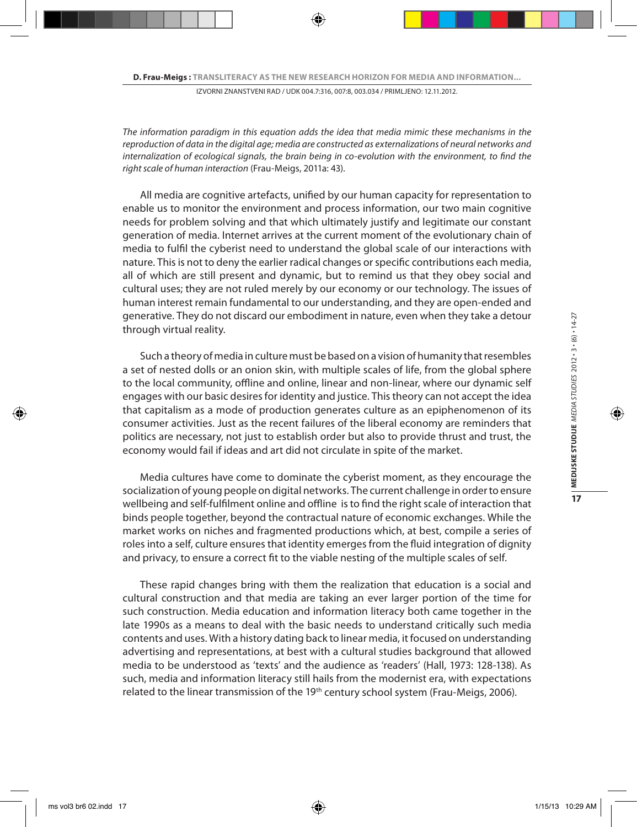*The information paradigm in this equation adds the idea that media mimic these mechanisms in the reproduction of data in the digital age; media are constructed as externalizations of neural networks and internalization of ecological signals, the brain being in co-evolution with the environment, to find the right scale of human interaction* (Frau-Meigs, 2011a: 43).

All media are cognitive artefacts, unified by our human capacity for representation to enable us to monitor the environment and process information, our two main cognitive needs for problem solving and that which ultimately justify and legitimate our constant generation of media. Internet arrives at the current moment of the evolutionary chain of media to fulfil the cyberist need to understand the global scale of our interactions with nature. This is not to deny the earlier radical changes or specific contributions each media, all of which are still present and dynamic, but to remind us that they obey social and cultural uses; they are not ruled merely by our economy or our technology. The issues of human interest remain fundamental to our understanding, and they are open-ended and generative. They do not discard our embodiment in nature, even when they take a detour through virtual reality.

Such a theory of media in culture must be based on a vision of humanity that resembles a set of nested dolls or an onion skin, with multiple scales of life, from the global sphere to the local community, offline and online, linear and non-linear, where our dynamic self engages with our basic desires for identity and justice. This theory can not accept the idea that capitalism as a mode of production generates culture as an epiphenomenon of its consumer activities. Just as the recent failures of the liberal economy are reminders that politics are necessary, not just to establish order but also to provide thrust and trust, the economy would fail if ideas and art did not circulate in spite of the market.

Media cultures have come to dominate the cyberist moment, as they encourage the socialization of young people on digital networks. The current challenge in order to ensure wellbeing and self-fulfilment online and offline is to find the right scale of interaction that binds people together, beyond the contractual nature of economic exchanges. While the market works on niches and fragmented productions which, at best, compile a series of roles into a self, culture ensures that identity emerges from the fluid integration of dignity and privacy, to ensure a correct fit to the viable nesting of the multiple scales of self.

These rapid changes bring with them the realization that education is a social and cultural construction and that media are taking an ever larger portion of the time for such construction. Media education and information literacy both came together in the late 1990s as a means to deal with the basic needs to understand critically such media contents and uses. With a history dating back to linear media, it focused on understanding advertising and representations, at best with a cultural studies background that allowed media to be understood as 'texts' and the audience as 'readers' (Hall, 1973: 128-138). As such, media and information literacy still hails from the modernist era, with expectations related to the linear transmission of the 19<sup>th</sup> century school system (Frau-Meigs, 2006).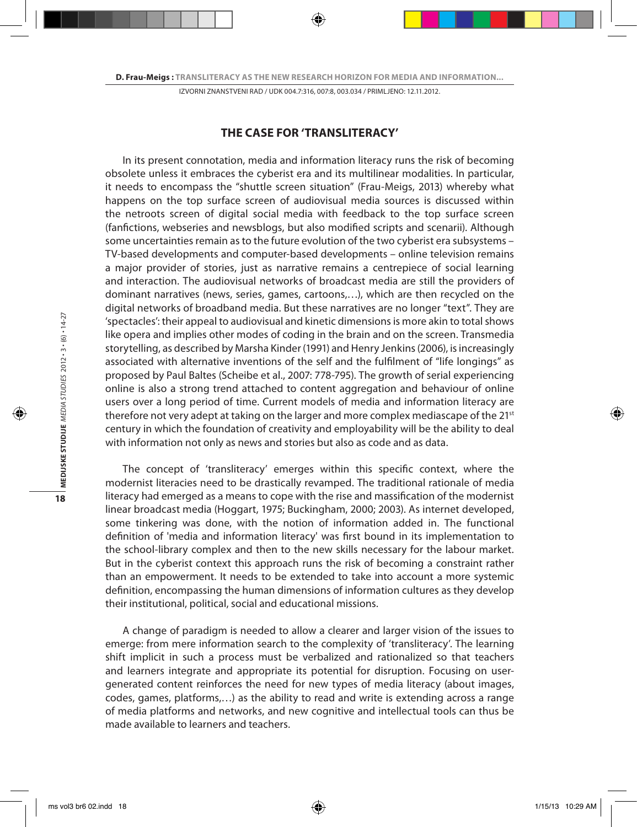## **THE CASE FOR 'TRANSLITERACY'**

In its present connotation, media and information literacy runs the risk of becoming obsolete unless it embraces the cyberist era and its multilinear modalities. In particular, it needs to encompass the "shuttle screen situation" (Frau-Meigs, 2013) whereby what happens on the top surface screen of audiovisual media sources is discussed within the netroots screen of digital social media with feedback to the top surface screen (fanfictions, webseries and newsblogs, but also modified scripts and scenarii). Although some uncertainties remain as to the future evolution of the two cyberist era subsystems – TV-based developments and computer-based developments – online television remains a major provider of stories, just as narrative remains a centrepiece of social learning and interaction. The audiovisual networks of broadcast media are still the providers of dominant narratives (news, series, games, cartoons,…), which are then recycled on the digital networks of broadband media. But these narratives are no longer "text". They are 'spectacles': their appeal to audiovisual and kinetic dimensions is more akin to total shows like opera and implies other modes of coding in the brain and on the screen. Transmedia storytelling, as described by Marsha Kinder (1991) and Henry Jenkins (2006), is increasingly associated with alternative inventions of the self and the fulfilment of "life longings" as proposed by Paul Baltes (Scheibe et al., 2007: 778-795). The growth of serial experiencing online is also a strong trend attached to content aggregation and behaviour of online users over a long period of time. Current models of media and information literacy are therefore not very adept at taking on the larger and more complex mediascape of the  $21^{st}$ century in which the foundation of creativity and employability will be the ability to deal with information not only as news and stories but also as code and as data.

The concept of 'transliteracy' emerges within this specific context, where the modernist literacies need to be drastically revamped. The traditional rationale of media literacy had emerged as a means to cope with the rise and massification of the modernist linear broadcast media (Hoggart, 1975; Buckingham, 2000; 2003). As internet developed, some tinkering was done, with the notion of information added in. The functional definition of 'media and information literacy' was first bound in its implementation to the school-library complex and then to the new skills necessary for the labour market. But in the cyberist context this approach runs the risk of becoming a constraint rather than an empowerment. It needs to be extended to take into account a more systemic definition, encompassing the human dimensions of information cultures as they develop their institutional, political, social and educational missions.

A change of paradigm is needed to allow a clearer and larger vision of the issues to emerge: from mere information search to the complexity of 'transliteracy'. The learning shift implicit in such a process must be verbalized and rationalized so that teachers and learners integrate and appropriate its potential for disruption. Focusing on usergenerated content reinforces the need for new types of media literacy (about images, codes, games, platforms,…) as the ability to read and write is extending across a range of media platforms and networks, and new cognitive and intellectual tools can thus be made available to learners and teachers.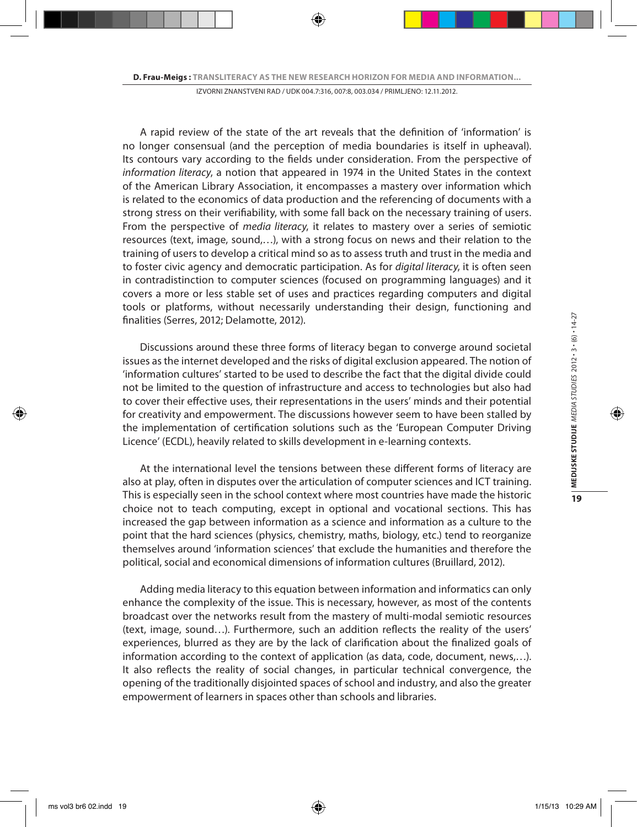A rapid review of the state of the art reveals that the definition of 'information' is no longer consensual (and the perception of media boundaries is itself in upheaval). Its contours vary according to the fields under consideration. From the perspective of *information literacy*, a notion that appeared in 1974 in the United States in the context of the American Library Association, it encompasses a mastery over information which is related to the economics of data production and the referencing of documents with a strong stress on their verifiability, with some fall back on the necessary training of users. From the perspective of *media literacy*, it relates to mastery over a series of semiotic resources (text, image, sound,…), with a strong focus on news and their relation to the training of users to develop a critical mind so as to assess truth and trust in the media and to foster civic agency and democratic participation. As for *digital literacy*, it is often seen in contradistinction to computer sciences (focused on programming languages) and it covers a more or less stable set of uses and practices regarding computers and digital tools or platforms, without necessarily understanding their design, functioning and finalities (Serres, 2012; Delamotte, 2012).

Discussions around these three forms of literacy began to converge around societal issues as the internet developed and the risks of digital exclusion appeared. The notion of 'information cultures' started to be used to describe the fact that the digital divide could not be limited to the question of infrastructure and access to technologies but also had to cover their effective uses, their representations in the users' minds and their potential for creativity and empowerment. The discussions however seem to have been stalled by the implementation of certification solutions such as the 'European Computer Driving Licence' (ECDL), heavily related to skills development in e-learning contexts.

At the international level the tensions between these different forms of literacy are also at play, often in disputes over the articulation of computer sciences and ICT training. This is especially seen in the school context where most countries have made the historic choice not to teach computing, except in optional and vocational sections. This has increased the gap between information as a science and information as a culture to the point that the hard sciences (physics, chemistry, maths, biology, etc.) tend to reorganize themselves around 'information sciences' that exclude the humanities and therefore the political, social and economical dimensions of information cultures (Bruillard, 2012).

Adding media literacy to this equation between information and informatics can only enhance the complexity of the issue. This is necessary, however, as most of the contents broadcast over the networks result from the mastery of multi-modal semiotic resources (text, image, sound…). Furthermore, such an addition reflects the reality of the users' experiences, blurred as they are by the lack of clarification about the finalized goals of information according to the context of application (as data, code, document, news,…). It also reflects the reality of social changes, in particular technical convergence, the opening of the traditionally disjointed spaces of school and industry, and also the greater empowerment of learners in spaces other than schools and libraries.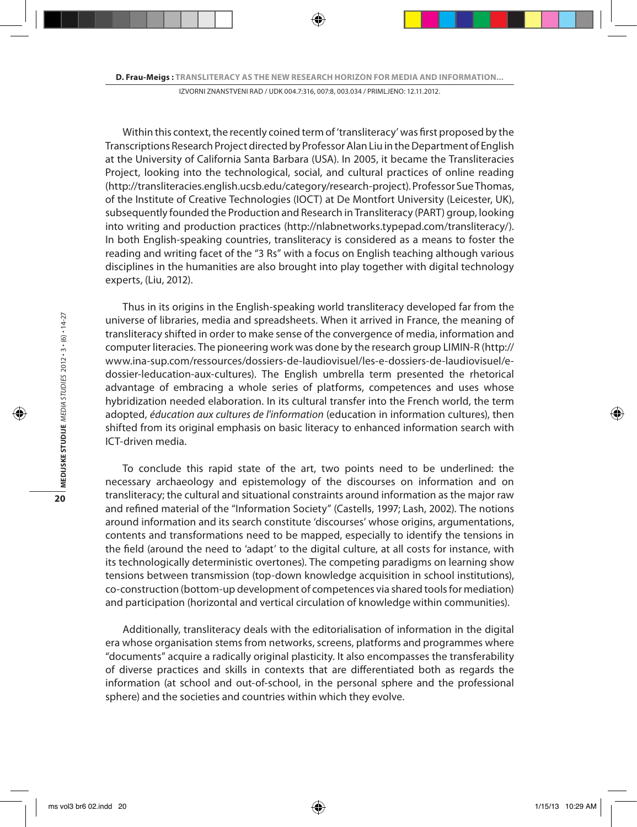Within this context, the recently coined term of 'transliteracy' was first proposed by the Transcriptions Research Project directed by Professor Alan Liu in the Department of English at the University of California Santa Barbara (USA). In 2005, it became the Transliteracies Project, looking into the technological, social, and cultural practices of online reading (http://transliteracies.english.ucsb.edu/category/research-project). Professor Sue Thomas, of the Institute of Creative Technologies (IOCT) at De Montfort University (Leicester, UK), subsequently founded the Production and Research in Transliteracy (PART) group, looking into writing and production practices (http://nlabnetworks.typepad.com/transliteracy/). In both English-speaking countries, transliteracy is considered as a means to foster the reading and writing facet of the "3 Rs" with a focus on English teaching although various disciplines in the humanities are also brought into play together with digital technology experts, (Liu, 2012).

Thus in its origins in the English-speaking world transliteracy developed far from the universe of libraries, media and spreadsheets. When it arrived in France, the meaning of transliteracy shifted in order to make sense of the convergence of media, information and computer literacies. The pioneering work was done by the research group LIMIN-R (http:// www.ina-sup.com/ressources/dossiers-de-laudiovisuel/les-e-dossiers-de-laudiovisuel/edossier-leducation-aux-cultures). The English umbrella term presented the rhetorical advantage of embracing a whole series of platforms, competences and uses whose hybridization needed elaboration. In its cultural transfer into the French world, the term adopted, *éducation aux cultures de l'information* (education in information cultures), then shifted from its original emphasis on basic literacy to enhanced information search with ICT-driven media.

To conclude this rapid state of the art, two points need to be underlined: the necessary archaeology and epistemology of the discourses on information and on transliteracy; the cultural and situational constraints around information as the major raw and refined material of the "Information Society" (Castells, 1997; Lash, 2002). The notions around information and its search constitute 'discourses' whose origins, argumentations, contents and transformations need to be mapped, especially to identify the tensions in the field (around the need to 'adapt' to the digital culture, at all costs for instance, with its technologically deterministic overtones). The competing paradigms on learning show tensions between transmission (top-down knowledge acquisition in school institutions), co-construction (bottom-up development of competences via shared tools for mediation) and participation (horizontal and vertical circulation of knowledge within communities).

Additionally, transliteracy deals with the editorialisation of information in the digital era whose organisation stems from networks, screens, platforms and programmes where "documents" acquire a radically original plasticity. It also encompasses the transferability of diverse practices and skills in contexts that are differentiated both as regards the information (at school and out-of-school, in the personal sphere and the professional sphere) and the societies and countries within which they evolve.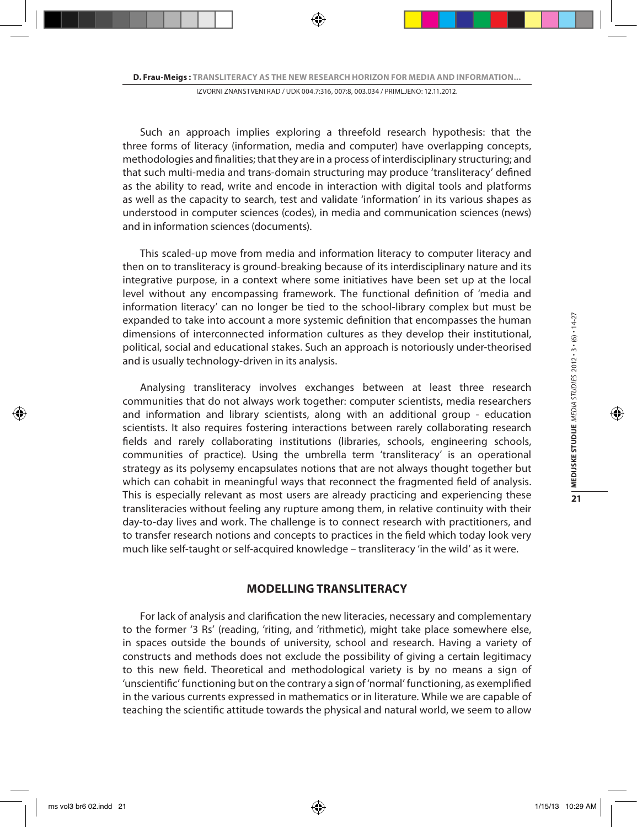Such an approach implies exploring a threefold research hypothesis: that the three forms of literacy (information, media and computer) have overlapping concepts, methodologies and finalities; that they are in a process of interdisciplinary structuring; and that such multi-media and trans-domain structuring may produce 'transliteracy' defined as the ability to read, write and encode in interaction with digital tools and platforms as well as the capacity to search, test and validate 'information' in its various shapes as understood in computer sciences (codes), in media and communication sciences (news) and in information sciences (documents).

This scaled-up move from media and information literacy to computer literacy and then on to transliteracy is ground-breaking because of its interdisciplinary nature and its integrative purpose, in a context where some initiatives have been set up at the local level without any encompassing framework. The functional definition of 'media and information literacy' can no longer be tied to the school-library complex but must be expanded to take into account a more systemic definition that encompasses the human dimensions of interconnected information cultures as they develop their institutional, political, social and educational stakes. Such an approach is notoriously under-theorised and is usually technology-driven in its analysis.

Analysing transliteracy involves exchanges between at least three research communities that do not always work together: computer scientists, media researchers and information and library scientists, along with an additional group - education scientists. It also requires fostering interactions between rarely collaborating research fields and rarely collaborating institutions (libraries, schools, engineering schools, communities of practice). Using the umbrella term 'transliteracy' is an operational strategy as its polysemy encapsulates notions that are not always thought together but which can cohabit in meaningful ways that reconnect the fragmented field of analysis. This is especially relevant as most users are already practicing and experiencing these transliteracies without feeling any rupture among them, in relative continuity with their day-to-day lives and work. The challenge is to connect research with practitioners, and to transfer research notions and concepts to practices in the field which today look very much like self-taught or self-acquired knowledge – transliteracy 'in the wild' as it were.

## **MODELLING TRANSLITERACY**

For lack of analysis and clarification the new literacies, necessary and complementary to the former '3 Rs' (reading, 'riting, and 'rithmetic), might take place somewhere else, in spaces outside the bounds of university, school and research. Having a variety of constructs and methods does not exclude the possibility of giving a certain legitimacy to this new field. Theoretical and methodological variety is by no means a sign of 'unscientific' functioning but on the contrary a sign of 'normal' functioning, as exemplified in the various currents expressed in mathematics or in literature. While we are capable of teaching the scientific attitude towards the physical and natural world, we seem to allow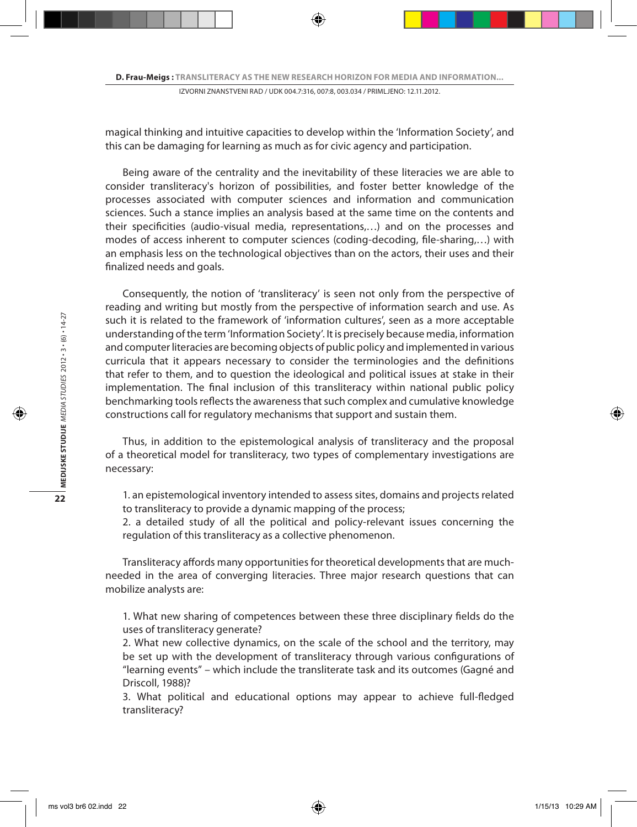magical thinking and intuitive capacities to develop within the 'Information Society', and this can be damaging for learning as much as for civic agency and participation.

Being aware of the centrality and the inevitability of these literacies we are able to consider transliteracy's horizon of possibilities, and foster better knowledge of the processes associated with computer sciences and information and communication sciences. Such a stance implies an analysis based at the same time on the contents and their specificities (audio-visual media, representations,…) and on the processes and modes of access inherent to computer sciences (coding-decoding, file-sharing,…) with an emphasis less on the technological objectives than on the actors, their uses and their finalized needs and goals.

Consequently, the notion of 'transliteracy' is seen not only from the perspective of reading and writing but mostly from the perspective of information search and use. As such it is related to the framework of 'information cultures', seen as a more acceptable understanding of the term 'Information Society'. It is precisely because media, information and computer literacies are becoming objects of public policy and implemented in various curricula that it appears necessary to consider the terminologies and the definitions that refer to them, and to question the ideological and political issues at stake in their implementation. The final inclusion of this transliteracy within national public policy benchmarking tools reflects the awareness that such complex and cumulative knowledge constructions call for regulatory mechanisms that support and sustain them.

Thus, in addition to the epistemological analysis of transliteracy and the proposal of a theoretical model for transliteracy, two types of complementary investigations are necessary:

1. an epistemological inventory intended to assess sites, domains and projects related to transliteracy to provide a dynamic mapping of the process;

2. a detailed study of all the political and policy-relevant issues concerning the regulation of this transliteracy as a collective phenomenon.

Transliteracy affords many opportunities for theoretical developments that are muchneeded in the area of converging literacies. Three major research questions that can mobilize analysts are:

1. What new sharing of competences between these three disciplinary fields do the uses of transliteracy generate?

2. What new collective dynamics, on the scale of the school and the territory, may be set up with the development of transliteracy through various configurations of "learning events" – which include the transliterate task and its outcomes (Gagné and Driscoll, 1988)?

3. What political and educational options may appear to achieve full-fledged transliteracy?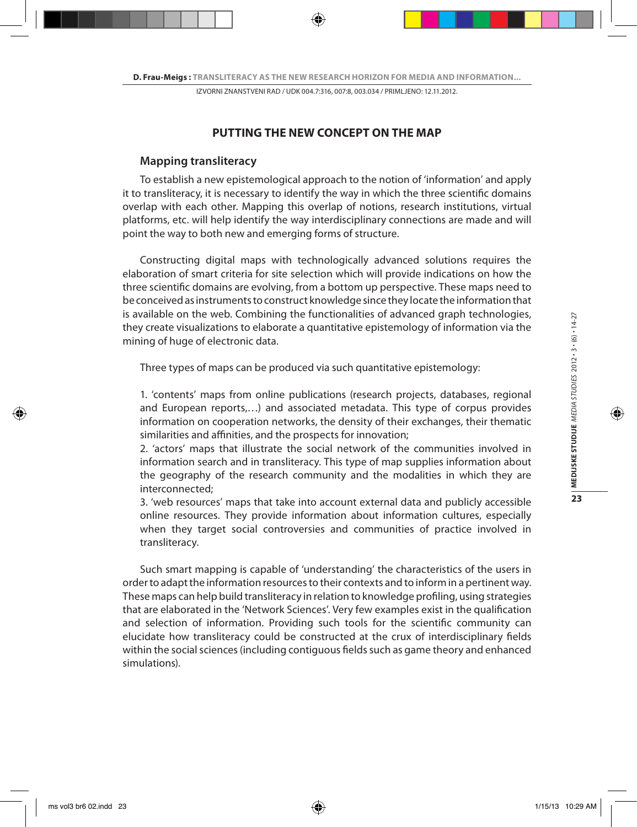# **PUTTING THE NEW CONCEPT ON THE MAP**

### **Mapping transliteracy**

To establish a new epistemological approach to the notion of 'information' and apply it to transliteracy, it is necessary to identify the way in which the three scientific domains overlap with each other. Mapping this overlap of notions, research institutions, virtual platforms, etc. will help identify the way interdisciplinary connections are made and will point the way to both new and emerging forms of structure.

Constructing digital maps with technologically advanced solutions requires the elaboration of smart criteria for site selection which will provide indications on how the three scientific domains are evolving, from a bottom up perspective. These maps need to be conceived as instruments to construct knowledge since they locate the information that is available on the web. Combining the functionalities of advanced graph technologies, they create visualizations to elaborate a quantitative epistemology of information via the mining of huge of electronic data.

Three types of maps can be produced via such quantitative epistemology:

1. 'contents' maps from online publications (research projects, databases, regional and European reports,…) and associated metadata. This type of corpus provides information on cooperation networks, the density of their exchanges, their thematic similarities and affinities, and the prospects for innovation;

2. 'actors' maps that illustrate the social network of the communities involved in information search and in transliteracy. This type of map supplies information about the geography of the research community and the modalities in which they are interconnected;

3. 'web resources' maps that take into account external data and publicly accessible online resources. They provide information about information cultures, especially when they target social controversies and communities of practice involved in transliteracy.

Such smart mapping is capable of 'understanding' the characteristics of the users in order to adapt the information resources to their contexts and to inform in a pertinent way. These maps can help build transliteracy in relation to knowledge profiling, using strategies that are elaborated in the 'Network Sciences'. Very few examples exist in the qualification and selection of information. Providing such tools for the scientific community can elucidate how transliteracy could be constructed at the crux of interdisciplinary fields within the social sciences (including contiguous fields such as game theory and enhanced simulations).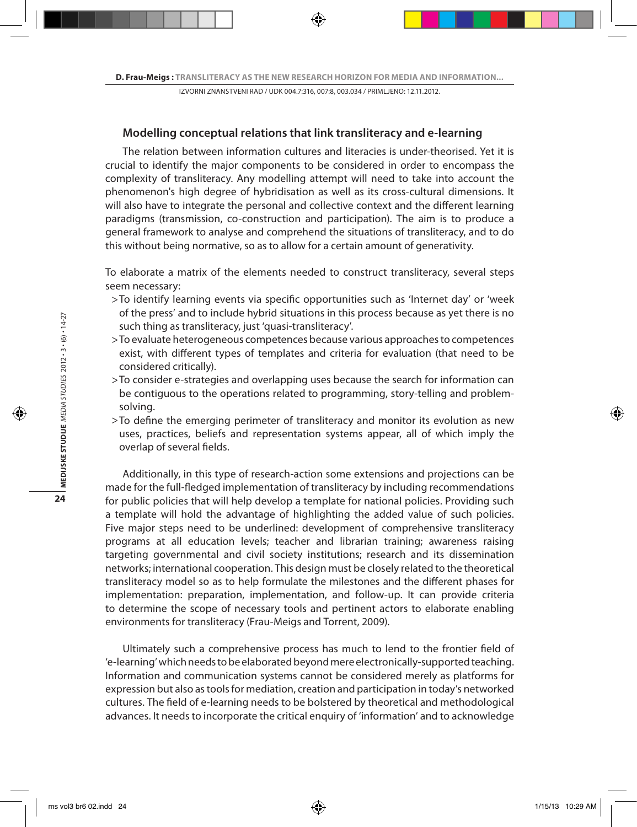#### **Modelling conceptual relations that link transliteracy and e-learning**

The relation between information cultures and literacies is under-theorised. Yet it is crucial to identify the major components to be considered in order to encompass the complexity of transliteracy. Any modelling attempt will need to take into account the phenomenon's high degree of hybridisation as well as its cross-cultural dimensions. It will also have to integrate the personal and collective context and the different learning paradigms (transmission, co-construction and participation). The aim is to produce a general framework to analyse and comprehend the situations of transliteracy, and to do this without being normative, so as to allow for a certain amount of generativity.

To elaborate a matrix of the elements needed to construct transliteracy, several steps seem necessary:

- To identify learning events via specific opportunities such as 'Internet day' or 'week > of the press' and to include hybrid situations in this process because as yet there is no such thing as transliteracy, just 'quasi-transliteracy'.
- To evaluate heterogeneous competences because various approaches to competences > exist, with different types of templates and criteria for evaluation (that need to be considered critically).
- To consider e-strategies and overlapping uses because the search for information can > be contiguous to the operations related to programming, story-telling and problemsolving.
- $>$  To define the emerging perimeter of transliteracy and monitor its evolution as new  $\,$ uses, practices, beliefs and representation systems appear, all of which imply the overlap of several fields.

Additionally, in this type of research-action some extensions and projections can be made for the full-fledged implementation of transliteracy by including recommendations for public policies that will help develop a template for national policies. Providing such a template will hold the advantage of highlighting the added value of such policies. Five major steps need to be underlined: development of comprehensive transliteracy programs at all education levels; teacher and librarian training; awareness raising targeting governmental and civil society institutions; research and its dissemination networks; international cooperation. This design must be closely related to the theoretical transliteracy model so as to help formulate the milestones and the different phases for implementation: preparation, implementation, and follow-up. It can provide criteria to determine the scope of necessary tools and pertinent actors to elaborate enabling environments for transliteracy (Frau-Meigs and Torrent, 2009).

Ultimately such a comprehensive process has much to lend to the frontier field of 'e-learning' which needs to be elaborated beyond mere electronically-supported teaching. Information and communication systems cannot be considered merely as platforms for expression but also as tools for mediation, creation and participation in today's networked cultures. The field of e-learning needs to be bolstered by theoretical and methodological advances. It needs to incorporate the critical enquiry of 'information' and to acknowledge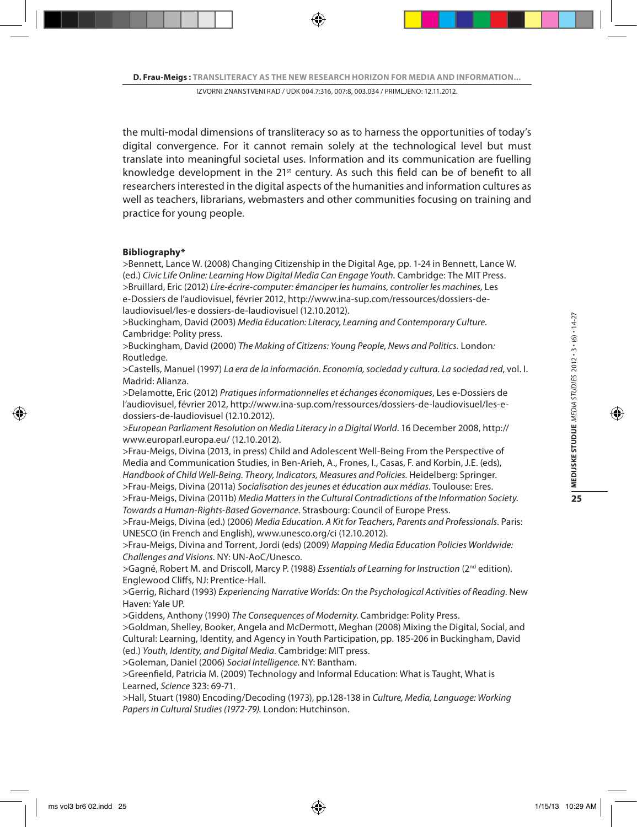the multi-modal dimensions of transliteracy so as to harness the opportunities of today's digital convergence. For it cannot remain solely at the technological level but must translate into meaningful societal uses. Information and its communication are fuelling knowledge development in the 21st century. As such this field can be of benefit to all researchers interested in the digital aspects of the humanities and information cultures as well as teachers, librarians, webmasters and other communities focusing on training and practice for young people.

#### **Bibliography\***

>Bennett, Lance W. (2008) Changing Citizenship in the Digital Age, pp. 1-24 in Bennett, Lance W. (ed.) *Civic Life Online: Learning How Digital Media Can Engage Youth.* Cambridge: The MIT Press. >Bruillard, Eric (2012) *Lire-écrire-computer: émanciper les humains, controller les machines,* Les e-Dossiers de l'audiovisuel, février 2012, http://www.ina-sup.com/ressources/dossiers-delaudiovisuel/les-e dossiers-de-laudiovisuel (12.10.2012).

>Buckingham, David (2003) *Media Education: Literacy, Learning and Contemporary Culture.* Cambridge: Polity press.

>Buckingham, David (2000) *The Making of Citizens: Young People, News and Politics.* London*:*  Routledge*.*

>Castells, Manuel (1997) *La era de la información. Economía, sociedad y cultura. La sociedad red*, vol. I. Madrid: Alianza.

>Delamotte, Eric (2012) *Pratiques informationnelles et échanges économiques*, Les e-Dossiers de l'audiovisuel, février 2012, http://www.ina-sup.com/ressources/dossiers-de-laudiovisuel/les-edossiers-de-laudiovisuel (12.10.2012).

*>European Parliament Resolution on Media Literacy in a Digital World*. 16 December 2008, http:// www.europarl.europa.eu/ (12.10.2012).

>Frau-Meigs, Divina (2013, in press) Child and Adolescent Well-Being From the Perspective of Media and Communication Studies, in Ben-Arieh, A., Frones, I., Casas, F. and Korbin, J.E. (eds), *Handbook of Child Well-Being. Theory, Indicators, Measures and Policies.* Heidelberg: Springer.

>Frau-Meigs, Divina (2011a) *Socialisation des jeunes et éducation aux médias*. Toulouse: Eres.

>Frau-Meigs, Divina (2011b) *Media Matters in the Cultural Contradictions of the Information Society. Towards a Human-Rights-Based Governance*. Strasbourg: Council of Europe Press.

>Frau-Meigs, Divina (ed.) (2006) *Media Education. A Kit for Teachers, Parents and Professionals*. Paris: UNESCO (in French and English), www.unesco.org/ci (12.10.2012).

>Frau-Meigs, Divina and Torrent, Jordi (eds) (2009) *Mapping Media Education Policies Worldwide: Challenges and Visions*. NY: UN-AoC/Unesco.

>Gagné, Robert M. and Driscoll, Marcy P. (1988) *Essentials of Learning for Instruction* (2nd edition). Englewood Cliffs, NJ: Prentice-Hall.

>Gerrig, Richard (1993) *Experiencing Narrative Worlds: On the Psychological Activities of Reading*. New Haven: Yale UP.

>Giddens, Anthony (1990) *The Consequences of Modernity*. Cambridge: Polity Press.

>Goldman, Shelley, Booker, Angela and McDermott, Meghan (2008) Mixing the Digital, Social, and Cultural: Learning, Identity, and Agency in Youth Participation, pp. 185-206 in Buckingham, David (ed.) *Youth, Identity, and Digital Media*. Cambridge: MIT press.

>Goleman, Daniel (2006) *Social Intelligence.* NY: Bantham.

>Greenfield, Patricia M. (2009) Technology and Informal Education: What is Taught, What is Learned, *Science* 323: 69-71.

>Hall, Stuart (1980) Encoding/Decoding (1973), pp.128-138 in *Culture, Media, Language: Working Papers in Cultural Studies (1972-79).* London: Hutchinson.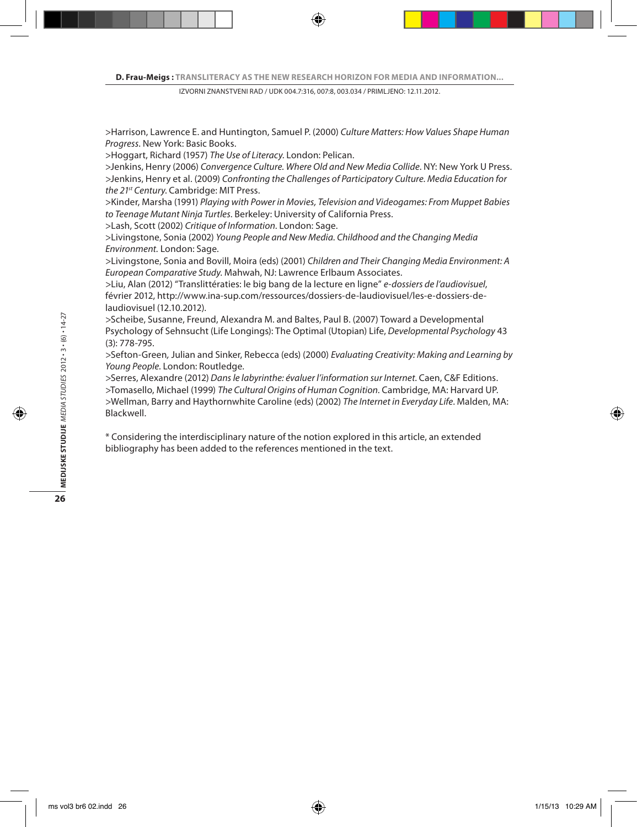>Harrison, Lawrence E. and Huntington, Samuel P. (2000) *Culture Matters: How Values Shape Human Progress*. New York: Basic Books.

>Hoggart, Richard (1957) *The Use of Literacy*. London: Pelican.

>Jenkins, Henry (2006) *Convergence Culture. Where Old and New Media Collide*. NY: New York U Press. >Jenkins, Henry et al. (2009) *Confronting the Challenges of Participatory Culture. Media Education for the 21st Century*. Cambridge: MIT Press.

>Kinder, Marsha (1991) *Playing with Power in Movies, Television and Videogames: From Muppet Babies to Teenage Mutant Ninja Turtles*. Berkeley: University of California Press.

>Lash, Scott (2002) *Critique of Information*. London: Sage.

>Livingstone, Sonia (2002) *Young People and New Media. Childhood and the Changing Media Environment.* London: Sage.

>Livingstone, Sonia and Bovill, Moira (eds) (2001) *Children and Their Changing Media Environment: A European Comparative Study*. Mahwah, NJ: Lawrence Erlbaum Associates.

>Liu, Alan (2012) "Translittératies: le big bang de la lecture en ligne" *e-dossiers de l'audiovisuel*, février 2012, http://www.ina-sup.com/ressources/dossiers-de-laudiovisuel/les-e-dossiers-delaudiovisuel (12.10.2012).

>Scheibe, Susanne, Freund, Alexandra M. and Baltes, Paul B. (2007) Toward a Developmental Psychology of Sehnsucht (Life Longings): The Optimal (Utopian) Life, *Developmental Psychology* 43 (3): 778-795.

>Sefton*-*Green*,* Julian and Sinker, Rebecca (eds) (2000) *Evaluating Creativity: Making and Learning by Young People.* London: Routledge*.*

>Serres, Alexandre (2012) *Dans le labyrinthe: évaluer l'information sur Internet.* Caen, C&F Editions. >Tomasello, Michael (1999) *The Cultural Origins of Human Cognition*. Cambridge, MA: Harvard UP. >Wellman, Barry and Haythornwhite Caroline (eds) (2002) *The Internet in Everyday Life*. Malden, MA: Blackwell.

\* Considering the interdisciplinary nature of the notion explored in this article, an extended bibliography has been added to the references mentioned in the text.